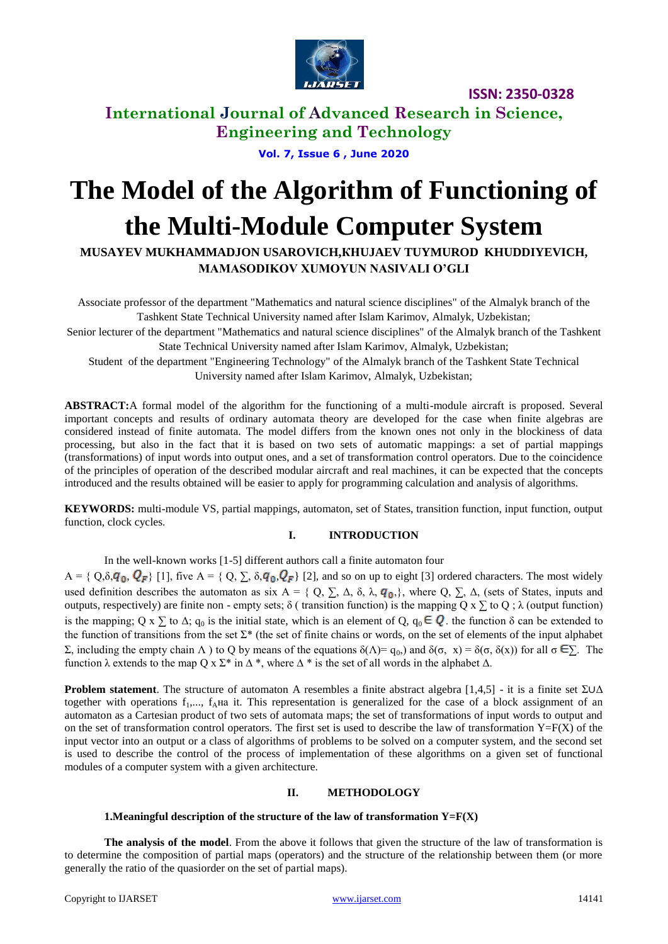

**International Journal of Advanced Research in Science, Engineering and Technology**

**Vol. 7, Issue 6 , June 2020**

# **The Model of the Algorithm of Functioning of the Multi-Module Computer System**

**MUSAYEV MUKHAMMADJON USAROVICH,КНUJAEV TUYMUROD KHUDDIYEVICH, MAMASODIKOV XUMOYUN NASIVALI O'GLI**

Associate professor of the department "Mathematics and natural science disciplines" of the Almalyk branch of the Tashkent State Technical University named after Islam Karimov, Almalyk, Uzbekistan;

Senior lecturer of the department "Mathematics and natural science disciplines" of the Almalyk branch of the Tashkent State Technical University named after Islam Karimov, Almalyk, Uzbekistan;

Student of the department "Engineering Technology" of the Almalyk branch of the Tashkent State Technical University named after Islam Karimov, Almalyk, Uzbekistan;

**ABSTRACT:**A formal model of the algorithm for the functioning of a multi-module aircraft is proposed. Several important concepts and results of ordinary automata theory are developed for the case when finite algebras are considered instead of finite automata. The model differs from the known ones not only in the blockiness of data processing, but also in the fact that it is based on two sets of automatic mappings: a set of partial mappings (transformations) of input words into output ones, and a set of transformation control operators. Due to the coincidence of the principles of operation of the described modular aircraft and real machines, it can be expected that the concepts introduced and the results obtained will be easier to apply for programming calculation and analysis of algorithms.

**KEYWORDS:** multi-module VS, partial mappings, automaton, set of States, transition function, input function, output function, clock cycles.

### **I. INTRODUCTION**

In the well-known works [1-5] different authors call a finite automaton four

 $A = \{ Q_i, \delta, q_0, Q_F \}$  [1], five  $A = \{ Q_i, \sum_i \delta, q_0, Q_F \}$  [2], and so on up to eight [3] ordered characters. The most widely used definition describes the automaton as six A = { Q,  $\Sigma$ ,  $\Delta$ ,  $\delta$ ,  $\lambda$ ,  $\mathbf{q_0}$ ,}, where Q,  $\Sigma$ ,  $\Delta$ , (sets of States, inputs and outputs, respectively) are finite non - empty sets; δ ( transition function) is the mapping Q x  $\Sigma$  to Q; λ (output function) is the mapping; Q x  $\Sigma$  to  $\Delta$ ; q<sub>0</sub> is the initial state, which is an element of Q,  $q_0 \in \mathbb{Q}$ . the function  $\delta$  can be extended to the function of transitions from the set  $\Sigma^*$  (the set of finite chains or words, on the set of elements of the input alphabet Σ, including the empty chain Λ ) to Q by means of the equations  $\delta(\Lambda) = q_0$ , and  $\delta(\sigma, x) = \delta(\sigma, \delta(x))$  for all  $\sigma \in \Sigma$ . The function  $\lambda$  extends to the map Q x  $\Sigma^*$  in  $\Delta^*$ , where  $\Delta^*$  is the set of all words in the alphabet  $\Delta$ .

**Problem statement**. The structure of automaton A resembles a finite abstract algebra [1,4,5] - it is a finite set Σ∪Δ together with operations  $f_1,..., f_A$  it. This representation is generalized for the case of a block assignment of an automaton as a Cartesian product of two sets of automata maps; the set of transformations of input words to output and on the set of transformation control operators. The first set is used to describe the law of transformation  $Y = F(X)$  of the input vector into an output or a class of algorithms of problems to be solved on a computer system, and the second set is used to describe the control of the process of implementation of these algorithms on a given set of functional modules of a computer system with a given architecture.

#### **II. METHODOLOGY**

#### **1.Meaningful description of the structure of the law of transformation Y=F(X)**

**The analysis of the model**. From the above it follows that given the structure of the law of transformation is to determine the composition of partial maps (operators) and the structure of the relationship between them (or more generally the ratio of the quasiorder on the set of partial maps).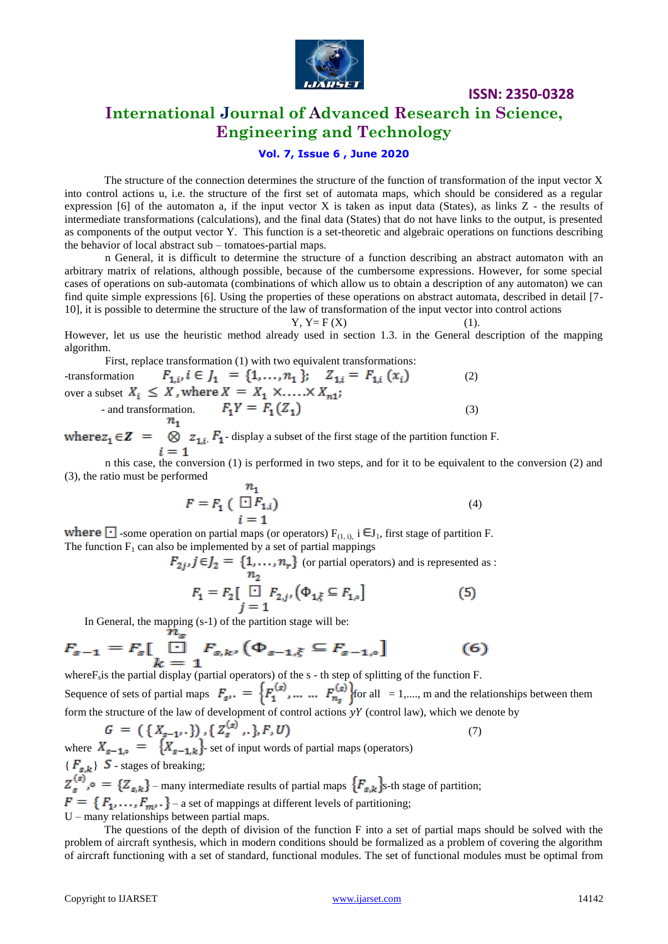

# **International Journal of Advanced Research in Science, Engineering and Technology**

### **Vol. 7, Issue 6 , June 2020**

The structure of the connection determines the structure of the function of transformation of the input vector X into control actions u, i.e. the structure of the first set of automata maps, which should be considered as a regular expression [6] of the automaton a, if the input vector X is taken as input data (States), as links  $Z$  - the results of intermediate transformations (calculations), and the final data (States) that do not have links to the output, is presented as components of the output vector Y. This function is a set-theoretic and algebraic operations on functions describing the behavior of local abstract sub – tomatoes-partial maps.

n General, it is difficult to determine the structure of a function describing an abstract automaton with an arbitrary matrix of relations, although possible, because of the cumbersome expressions. However, for some special cases of operations on sub-automata (combinations of which allow us to obtain a description of any automaton) we can find quite simple expressions [6]. Using the properties of these operations on abstract automata, described in detail [7- 10], it is possible to determine the structure of the law of transformation of the input vector into control actions

$$
Y, Y = F(X) \tag{1}
$$

However, let us use the heuristic method already used in section 1.3. in the General description of the mapping algorithm.

First, replace transformation (1) with two equivalent transformations:  
\n-transformation 
$$
F_{1,i}, i \in J_1 = \{1, ..., n_1\}; \quad Z_{1,i} = F_{1,i} (x_i)
$$
 (2)  
\n $\text{given a subset } X \leq X \text{ where } Y = Y \leq X \leq Y$ .

over a subset - and transformation.  $F_1 Y = F_1 (Z_1)$  (3)

where  $z_1 \in \mathbf{Z}$  =  $\bigotimes_{i=1}^{n_1} z_{1,i}$ ,  $F_1$ - display a subset of the first stage of the partition function F.

n this case, the conversion (1) is performed in two steps, and for it to be equivalent to the conversion (2) and (3), the ratio must be performed  $\boldsymbol{n}$ .

$$
F = F_1 \left( \begin{array}{c} n_1 \\ \square F_{1,i} \end{array} \right) \tag{4}
$$

**where**  $\blacksquare$  -some operation on partial maps (or operators)  $F_{(1, i)}$ ,  $i \in J_1$ , first stage of partition F. The function  $F_1$  can also be implemented by a set of partial mappings

$$
F_{2j}, j \in J_2 = \{1, ..., n_r\} \text{ (or partial operators) and is represented as :}
$$

$$
F_1 = F_2 \left[ \begin{array}{c} 1 \ \overline{\Box} \ F_{2,j}, \ (\Phi_{1,\xi} \subseteq F_{1,\circ} \end{array} \right] \tag{5}
$$

In General, the mapping (s-1) of the partition stage will be:

$$
F_{s-1} = F_s \left[ \begin{array}{c} \Box & F_{s,k}, (\Phi_{s-1,\xi} \subseteq F_{s-1,\circ} \end{array} \right] \tag{6}
$$

where $F_s$  is the partial display (partial operators) of the s - th step of splitting of the function  $F$ . Sequence of sets of partial maps  $F_{s}$ ,  $= \{F_1^{(s)}, \dots \dots F_{n_s}^{(s)}\}$  for all  $= 1, \dots, m$  and the relationships between them form the structure of the law of development of control actions  $yY$  (control law), which we denote by

$$
G = (\{X_{s-1}, \}) , \{Z_s^{(s)}, \cdot\}, F, U)
$$
  
\n
$$
Z = \{X_{s-1}, \} , \text{ set of input words of partial maps (operators)} \tag{7}
$$

where  $X_{s-1,0} = \{X_{s-1,k}\}\$ - set of input words of partial maps (operators)  $\{F_{s,k}\}\ S$  - stages of breaking;  $Z_s^{(s)}$ ,  $\circ$  = { $Z_{s,k}$ } – many intermediate results of partial maps { $F_{s,k}$ }s-th stage of partition;  $F = \{F_1, \ldots, F_m, \ldots\}$  – a set of mappings at different levels of partitioning; U – many relationships between partial maps.

The questions of the depth of division of the function F into a set of partial maps should be solved with the problem of aircraft synthesis, which in modern conditions should be formalized as a problem of covering the algorithm of aircraft functioning with a set of standard, functional modules. The set of functional modules must be optimal from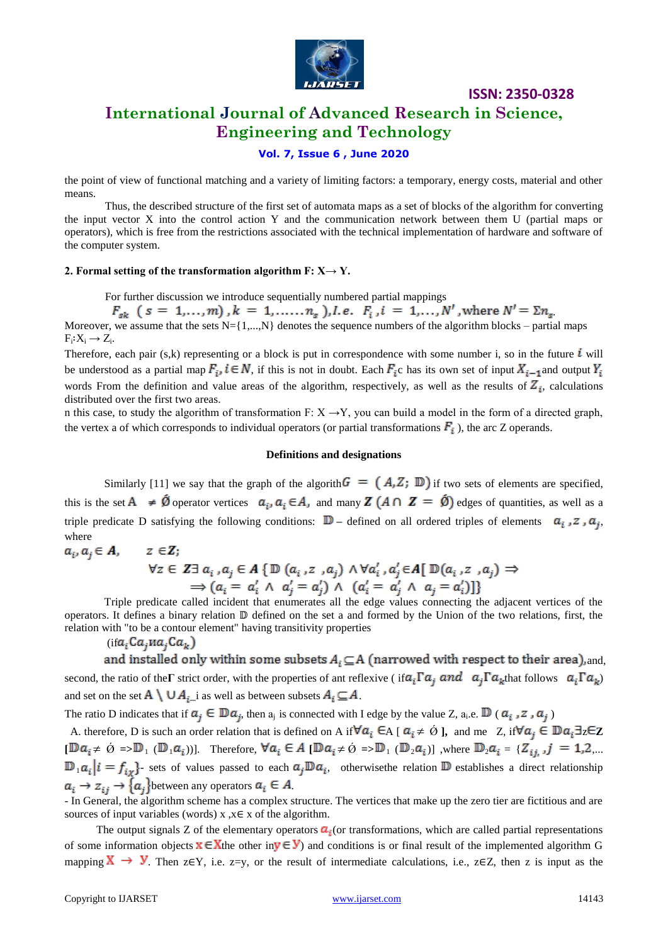

# **International Journal of Advanced Research in Science, Engineering and Technology**

### **Vol. 7, Issue 6 , June 2020**

the point of view of functional matching and a variety of limiting factors: a temporary, energy costs, material and other means.

Thus, the described structure of the first set of automata maps as a set of blocks of the algorithm for converting the input vector X into the control action Y and the communication network between them U (partial maps or operators), which is free from the restrictions associated with the technical implementation of hardware and software of the computer system.

#### **2. Formal setting of the transformation algorithm**  $F: X \rightarrow Y$ **.**

For further discussion we introduce sequentially numbered partial mappings

 $F_{sk}$  (  $s~=~1,\ldots,m)$  ,  $k~=~1,\ldots\ldots n_s$  ),<br>i.e.  $F_i$  ,  $i~=~1,\ldots,N'$  ,<br>where  $N'=\Sigma n_s$ 

Moreover, we assume that the sets  $N = \{1,...,N\}$  denotes the sequence numbers of the algorithm blocks – partial maps  $F_i: X_i \longrightarrow Z_i.$ 

Therefore, each pair  $(s,k)$  representing or a block is put in correspondence with some number i, so in the future  $\vec{l}$  will be understood as a partial map  $F_i$ ,  $i \in N$ , if this is not in doubt. Each  $F_i$ c has its own set of input  $X_{i-1}$  and output  $Y_i$ words From the definition and value areas of the algorithm, respectively, as well as the results of  $Z_i$ , calculations distributed over the first two areas.

n this case, to study the algorithm of transformation F:  $X \rightarrow Y$ , you can build a model in the form of a directed graph, the vertex a of which corresponds to individual operators (or partial transformations  $F_i$ ), the arc Z operands.

#### **Definitions and designations**

Similarly [11] we say that the graph of the algorith  $\mathbf{G} = (A, Z; \mathbb{D})$  if two sets of elements are specified, this is the set  $A \neq \emptyset$  operator vertices  $a_i, a_i \in A$ , and many  $\mathbf{Z}(A \cap \mathbf{Z} = \emptyset)$  edges of quantities, as well as a triple predicate D satisfying the following conditions:  $\mathbb{D}$  – defined on all ordered triples of elements  $a_i$ ,  $z$ ,  $a_j$ , where  $a_i, a_i \in A$ 

$$
\forall z \in \mathbf{Z} \exists a_i, a_j \in \mathbf{A} \{ \mathbb{D} (a_i, z, a_j) \land \forall a'_i, a'_j \in \mathbf{A} [\mathbb{D} (a_i, z, a_j) \Rightarrow
$$
  

$$
\Rightarrow (a_i = a'_i \land a'_j = a'_j) \land (a'_i = a'_j \land a_j = a'_i)] \}
$$

Triple predicate called incident that enumerates all the edge values connecting the adjacent vertices of the operators. It defines a binary relation  $D$  defined on the set a and formed by the Union of the two relations, first, the relation with "to be a contour element" having transitivity properties

 $(ifa_iCa_jna_iCa_k)$ 

and installed only within some subsets  $A_i \subseteq A$  (narrowed with respect to their area), and, second, the ratio of the  $\Gamma$  strict order, with the properties of ant reflexive ( $i\pi a_i \Gamma a_j$  and  $a_j \Gamma a_k$ ) that follows  $a_i \Gamma a_k$ ) and set on the set  $A \setminus \cup A_{i-1}$  as well as between subsets  $A_i \subseteq A$ .

The ratio D indicates that if  $a_j \in \mathbb{D}a_j$ , then  $a_j$  is connected with I edge by the value Z,  $a_i$ , e.  $\mathbb{D}$  ( $a_i$ ,  $z$ ,  $a_j$ )

A. therefore, D is such an order relation that is defined on A if  $\forall a_i \in A$  [ $a_i \neq \emptyset$ ], and me Z, if  $\forall a_i \in \mathbb{D}a_i \exists z \in \mathbb{Z}$  $[\mathbb{D}a_i \neq \emptyset \Rightarrow \mathbb{D}_1 (\mathbb{D}_1 a_i))]$ . Therefore,  $\forall a_i \in A \ [\mathbb{D}a_i \neq \emptyset \Rightarrow \mathbb{D}_1 (\mathbb{D}_2 a_i)]$ , where  $\mathbb{D}_2 a_i = \{Z_{ij_i}, j = 1, 2, \dots \}$  $\mathbb{D}_1 a_i | i = f_{i\chi}$  sets of values passed to each  $a_j \mathbb{D} a_i$ , otherwisethe relation  $\mathbb{D}$  establishes a direct relationship  $a_i \rightarrow z_{ij} \rightarrow \{a_j\}$ between any operators  $a_i \in A$ .

- In General, the algorithm scheme has a complex structure. The vertices that make up the zero tier are fictitious and are sources of input variables (words) x ,x∈ x of the algorithm.

The output signals Z of the elementary operators  $a_i$  (or transformations, which are called partial representations of some information objects  $x \in X$  the other in  $y \in Y$  and conditions is or final result of the implemented algorithm G mapping  $X \to Y$  Then z∈Y, i.e. z=y, or the result of intermediate calculations, i.e., z∈Z, then z is input as the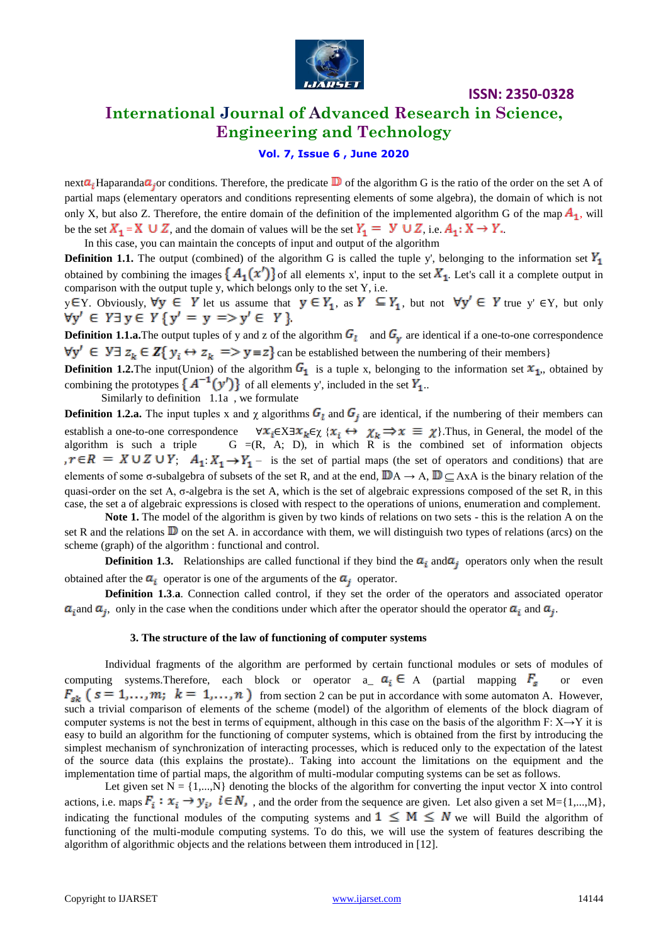

# **International Journal of Advanced Research in Science, Engineering and Technology**

### **Vol. 7, Issue 6 , June 2020**

next $a_i$ Haparanda $a_j$ or conditions. Therefore, the predicate  $\Box$  of the algorithm G is the ratio of the order on the set A of partial maps (elementary operators and conditions representing elements of some algebra), the domain of which is not only X, but also Z. Therefore, the entire domain of the definition of the implemented algorithm G of the map  $A_1$ , will be the set  $X_1 = X \cup Z$ , and the domain of values will be the set  $Y_1 = Y \cup Z$ , i.e.  $A_1: X \to Y$ .

In this case, you can maintain the concepts of input and output of the algorithm

**Definition 1.1.** The output (combined) of the algorithm G is called the tuple y', belonging to the information set  $Y_1$ obtained by combining the images  $\{A_1(x')\}$  of all elements x', input to the set  $X_1$ . Let's call it a complete output in comparison with the output tuple y, which belongs only to the set Y, i.e.

 $y \in Y$ . Obviously,  $\forall y \in Y$  let us assume that  $y \in Y_1$ , as  $Y \subseteq Y_1$ , but not  $\forall y' \in Y$  true y'  $\in Y$ , but only  $\forall y' \in Y \exists y \in Y \{y' = y \implies y' \in Y\}$ 

**Definition 1.1.a.**The output tuples of y and z of the algorithm  $G_l$  and  $G_v$  are identical if a one-to-one correspondence  $\forall y' \in Y \exists z_k \in Z \{ y_i \leftrightarrow z_k \implies y \equiv z \}$  can be established between the numbering of their members}

**Definition 1.2.**The input(Union) of the algorithm  $G_1$  is a tuple x, belonging to the information set  $x_1$ , obtained by combining the prototypes  $\{A^{-1}(y')\}$  of all elements y', included in the set  $Y_1$ .

Similarly to definition 1.1a , we formulate

**Definition 1.2.a.** The input tuples x and  $\chi$  algorithms  $G_i$  and  $G_j$  are identical, if the numbering of their members can establish a one-to-one correspondence  $\forall x_i \in \mathbb{X} \exists x_k \in \mathbb{X} \{x_i \leftrightarrow x_k \Rightarrow x \equiv \chi\}$ . Thus, in General, the model of the algorithm is such a triple  $G = (R, A; D)$ , in which R is the combined set of information objects  $; r \in R$  =  $X \cup Z \cup Y$ ;  $A_1 \cdot X_1 \rightarrow Y_1$  is the set of partial maps (the set of operators and conditions) that are elements of some  $\sigma$ -subalgebra of subsets of the set R, and at the end,  $\mathbb{D}$ A  $\to$  A,  $\mathbb{D} \subseteq$ AxA is the binary relation of the quasi-order on the set A, σ-algebra is the set A, which is the set of algebraic expressions composed of the set R, in this case, the set a of algebraic expressions is closed with respect to the operations of unions, enumeration and complement.

**Note 1.** The model of the algorithm is given by two kinds of relations on two sets - this is the relation A on the set R and the relations  $\mathbb D$  on the set A. in accordance with them, we will distinguish two types of relations (arcs) on the scheme (graph) of the algorithm : functional and control.

**Definition 1.3.** Relationships are called functional if they bind the  $a_i$  and  $a_j$  operators only when the result obtained after the  $a_i$  operator is one of the arguments of the  $a_i$  operator.

**Definition 1.3**.**a**. Connection called control, if they set the order of the operators and associated operator  $a_i$  and  $a_j$ , only in the case when the conditions under which after the operator should the operator  $a_i$  and  $a_j$ .

#### **3. The structure of the law of functioning of computer systems**

Individual fragments of the algorithm are performed by certain functional modules or sets of modules of computing systems. Therefore, each block or operator  $a \in \mathcal{A}$  (partial mapping  $F_s$  or even  $F_{sk}$  ( $s = 1,...,m; k = 1,...,n$ ) from section 2 can be put in accordance with some automaton A. However, such a trivial comparison of elements of the scheme (model) of the algorithm of elements of the block diagram of computer systems is not the best in terms of equipment, although in this case on the basis of the algorithm F:  $X \rightarrow Y$  it is easy to build an algorithm for the functioning of computer systems, which is obtained from the first by introducing the simplest mechanism of synchronization of interacting processes, which is reduced only to the expectation of the latest of the source data (this explains the prostate).. Taking into account the limitations on the equipment and the implementation time of partial maps, the algorithm of multi-modular computing systems can be set as follows.

Let given set  $N = \{1,...,N\}$  denoting the blocks of the algorithm for converting the input vector X into control actions, i.e. maps  $F_i : x_i \to y_i$ ,  $i \in N$ , and the order from the sequence are given. Let also given a set M={1,...,M}, indicating the functional modules of the computing systems and  $1 \leq M \leq N$  we will Build the algorithm of functioning of the multi-module computing systems. To do this, we will use the system of features describing the algorithm of algorithmic objects and the relations between them introduced in [12].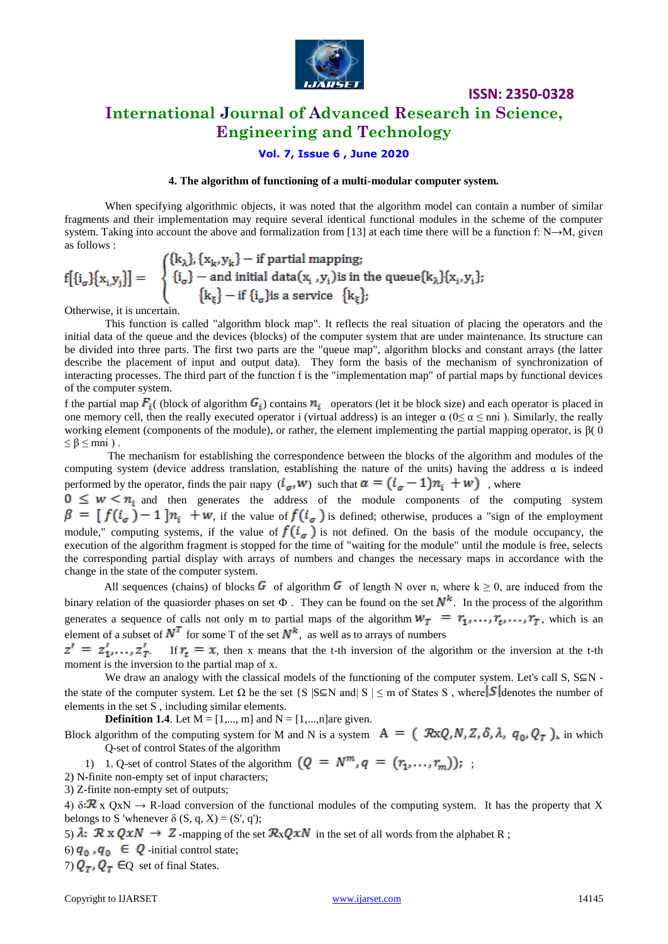

# **ISSN: 2350-0328 International Journal of Advanced Research in Science, Engineering and Technology**

### **Vol. 7, Issue 6 , June 2020**

#### **4. Тhe algorithm of functioning of a multi-modular computer system.**

When specifying algorithmic objects, it was noted that the algorithm model can contain a number of similar fragments and their implementation may require several identical functional modules in the scheme of the computer system. Taking into account the above and formalization from [13] at each time there will be a function f:  $N \rightarrow M$ , given as follows :

$$
f[\{i_\sigma\}\{x_i,y_j\}]=\begin{cases}\{k_\lambda\},\{x_k,y_k\}-\text{ if partial mapping;}\\ \{i_\sigma\}-\text{ and initial data}(x_i\;,y_i)\text{ is in the queue}\{k_\lambda\}\{x_i,y_i\};\\ \{k_\xi\}-\text{ if }\{i_\sigma\}\text{ is a service }\{k_\xi\};\end{cases}
$$

Otherwise, it is uncertain.

This function is called "algorithm block map". It reflects the real situation of placing the operators and the initial data of the queue and the devices (blocks) of the computer system that are under maintenance. Its structure can be divided into three parts. The first two parts are the "queue map", algorithm blocks and constant arrays (the latter describe the placement of input and output data). They form the basis of the mechanism of synchronization of interacting processes. The third part of the function f is the "implementation map" of partial maps by functional devices of the computer system.

f the partial map  $F_i$  (block of algorithm  $G_i$ ) contains  $n_i$  operators (let it be block size) and each operator is placed in one memory cell, then the really executed operator i (virtual address) is an integer  $\alpha$  (0 $\leq \alpha \leq$  nni ). Similarly, the really working element (components of the module), or rather, the element implementing the partial mapping operator, is  $β(0)$  $\leq \beta \leq$  mni ).

The mechanism for establishing the correspondence between the blocks of the algorithm and modules of the computing system (device address translation, establishing the nature of the units) having the address  $\alpha$  is indeed performed by the operator, finds the pair napy  $(i_{\sigma}, w)$  such that  $\alpha = (i_{\sigma} - 1)n_i + w$ , where

 $0 \leq w \leq n_i$  and then generates the address of the module components of the computing system  $\beta = [f(i_{\sigma}) - 1]n_i + w$ , if the value of  $f(i_{\sigma})$  is defined; otherwise, produces a "sign of the employment module," computing systems, if the value of  $f(i_{\sigma})$  is not defined. On the basis of the module occupancy, the execution of the algorithm fragment is stopped for the time of "waiting for the module" until the module is free, selects the corresponding partial display with arrays of numbers and changes the necessary maps in accordance with the change in the state of the computer system.

All sequences (chains) of blocks  $\vec{G}$  of algorithm  $\vec{G}$  of length N over n, where  $k \ge 0$ , are induced from the binary relation of the quasiorder phases on set  $\Phi$ . They can be found on the set  $N^k$ . In the process of the algorithm generates a sequence of calls not only m to partial maps of the algorithm  $w_T = r_1, \ldots, r_t, \ldots, r_T$ , which is an element of a subset of  $N^T$  for some T of the set  $N^k$ , as well as to arrays of numbers

 $z' = z'_1, \ldots, z'_T$  If  $r_t = x$ , then x means that the t-th inversion of the algorithm or the inversion at the t-th moment is the inversion to the partial map of x.

We draw an analogy with the classical models of the functioning of the computer system. Let's call S, S⊆N the state of the computer system. Let  $\Omega$  be the set {S |S⊆N and| S | ≤ m of States S, where  $|S|$  denotes the number of elements in the set S , including similar elements.

**Definition 1.4**. Let  $M = [1, ..., m]$  and  $N = [1, ..., n]$  are given.

Block algorithm of the computing system for M and N is a system  $A = (RxQ, N, Z, \delta, \lambda, q_0, Q_T)$ , in which Q-set of control States of the algorithm

1) 1. Q-set of control States of the algorithm  $(Q = N^m, q = (r_1, \ldots, r_m))$ ;

2) N-finite non-empty set of input characters;

3) Z-finite non-empty set of outputs;

4)  $\delta$ :  $\mathcal{R}_X$  OxN  $\rightarrow$  R-load conversion of the functional modules of the computing system. It has the property that X belongs to S 'whenever  $\delta$  (S, q, X) = (S', q');

5)  $\lambda: \mathbb{R} \times Q \times N \to Z$  -mapping of the set  $\mathbb{R} \times Q \times N$  in the set of all words from the alphabet R ;

6)  $q_0$ ,  $q_0 \in Q$ -initial control state;

7)  $Q_T$ ,  $Q_T \in \mathbb{Q}$  set of final States.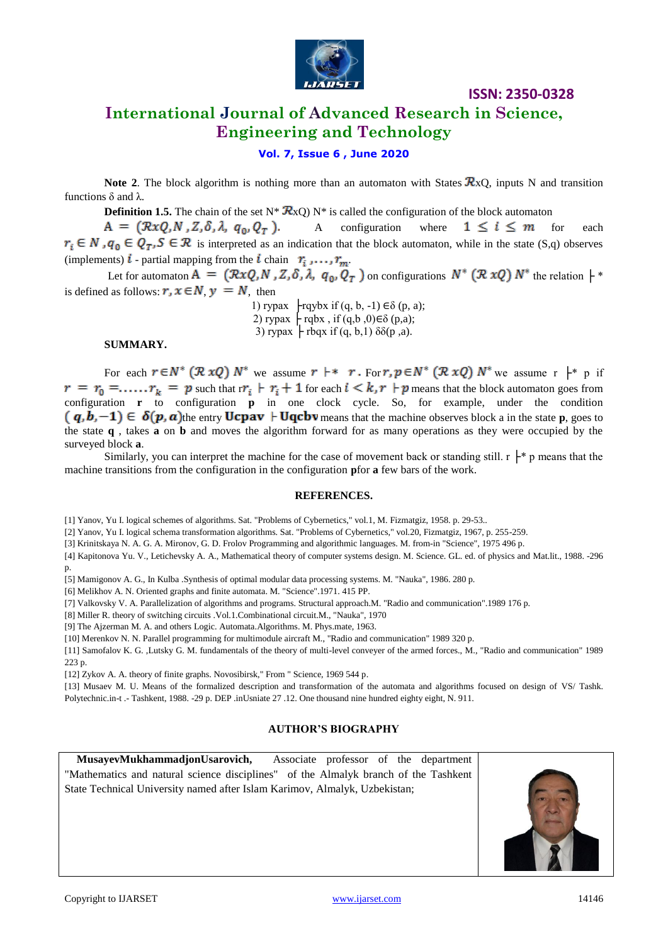

# **International Journal of Advanced Research in Science, Engineering and Technology**

### **Vol. 7, Issue 6 , June 2020**

**Note 2.** The block algorithm is nothing more than an automaton with States  $\mathcal{R}$ xO, inputs N and transition functions δ and λ.

**Definition 1.5.** The chain of the set  $N^* \mathcal{R} \times \mathcal{O}$   $N^*$  is called the configuration of the block automaton  $A = (RxQ, N, Z, \delta, \lambda, q_0, Q_\tau).$ A configuration where  $1 \leq i \leq m$  for each  $r_i \in N$ ,  $q_0 \in Q_T$ ,  $S \in \mathcal{R}$  is interpreted as an indication that the block automaton, while in the state (S,q) observes (implements)  $\mathbf{i}$  - partial mapping from the  $\mathbf{i}$  chain  $r_i$ ,...,  $r_m$ .

Let for automaton  $A = (\mathcal{R} \mathcal{R} \mathcal{Q}, N, Z, \delta, \lambda, q_0, Q_T)$  on configurations  $N^* (\mathcal{R} \mathcal{R} \mathcal{Q}) N^*$  the relation  $\vdash^*$ is defined as follows:  $r, x \in N$ ,  $y = N$ , then

> 1) rypax  $\vdash$ rqybx if (q, b, -1)  $\in$ δ (p, a); 2) rypax  $\vdash$  rqbx, if (q,b,0) $\in$ δ (p,a); 3) rypax  $\vdash$  rbqx if (q, b, 1)  $\delta \delta(p, a)$ .

#### **SUMMARY.**

For each  $r \in N^*$  (R xQ)  $N^*$  we assume  $r \vdash^* r$ . For  $r, p \in N^*$  (R xQ)  $N^*$  we assume  $r \vdash^* p$  if  $r = r_0 = \ldots r_k = p$  such that  $r_i + r_i + 1$  for each  $i \leq k, r \geq p$  means that the block automaton goes from configuration **r** to configuration **p** in one clock cycle. So, for example, under the condition  $(q, b, -1) \in \delta(p, a)$  the entry **Ucpav**  $\vdash$  **Uqcbv** means that the machine observes block a in the state **p**, goes to the state **q** , takes **a** on **b** and moves the algorithm forward for as many operations as they were occupied by the surveyed block **a**.

Similarly, you can interpret the machine for the case of movement back or standing still.  $r \nightharpoonup^* p$  means that the machine transitions from the configuration in the configuration **р**for **a** few bars of the work.

#### **REFERENCES.**

[1] Yanov, Yu I. logical schemes of algorithms. Sat. "Problems of Cybernetics," vol.1, M. Fizmatgiz, 1958. p. 29-53..

[2] Yanov, Yu I. logical schema transformation algorithms. Sat. "Problems of Cybernetics," vol.20, Fizmatgiz, 1967, p. 255-259.

[3] Krinitskaya N. A. G. A. Mironov, G. D. Frolov Programming and algorithmic languages. M. from-in "Science", 1975 496 p.

[4] Kapitonova Yu. V., Letichevsky A. A., Mathematical theory of computer systems design. M. Science. GL. ed. of physics and Mat.lit., 1988. -296 p.

[5] Mamigonov A. G., In Kulba .Synthesis of optimal modular data processing systems. M. "Nauka", 1986. 280 p.

[6] Melikhov A. N. Oriented graphs and finite automata. M. "Science".1971. 415 PP.

[7] Valkovsky V. A. Parallelization of algorithms and programs. Structural approach.M. "Radio and communication".1989 176 p.

[8] Miller R. theory of switching circuits .Vol.1.Combinational circuit.M., "Nauka", 1970

[9] The Ajzerman M. A. and others Logic. Automata.Algorithms. M. Phys.mate, 1963.

[10] Merenkov N. N. Parallel programming for multimodule aircraft M., "Radio and communication" 1989 320 p.

[11] Samofalov K. G. ,Lutsky G. M. fundamentals of the theory of multi-level conveyer of the armed forces., M., "Radio and communication" 1989 223 p.

[12] Zykov A. A. theory of finite graphs. Novosibirsk," From " Science, 1969 544 p.

[13] Musaev M. U. Means of the formalized description and transformation of the automata and algorithms focused on design of VS/ Tashk. Polytechnic.in-t .- Tashkent, 1988. -29 p. DEP .inUsniate 27 .12. One thousand nine hundred eighty eight, N. 911.

#### **AUTHOR'S BIOGRAPHY**